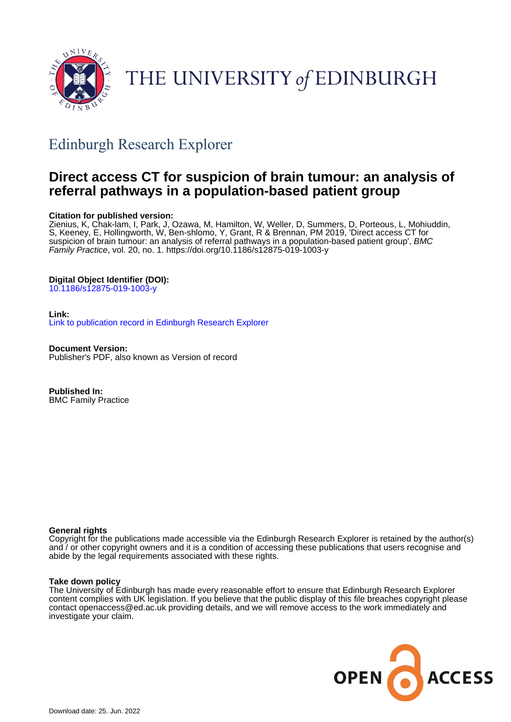

## THE UNIVERSITY of EDINBURGH

## Edinburgh Research Explorer

### **Direct access CT for suspicion of brain tumour: an analysis of referral pathways in a population-based patient group**

#### **Citation for published version:**

Zienius, K, Chak-lam, I, Park, J, Ozawa, M, Hamilton, W, Weller, D, Summers, D, Porteous, L, Mohiuddin, S, Keeney, E, Hollingworth, W, Ben-shlomo, Y, Grant, R & Brennan, PM 2019, 'Direct access CT for suspicion of brain tumour: an analysis of referral pathways in a population-based patient group',  $BMC$ Family Practice, vol. 20, no. 1. <https://doi.org/10.1186/s12875-019-1003-y>

### **Digital Object Identifier (DOI):**

[10.1186/s12875-019-1003-y](https://doi.org/10.1186/s12875-019-1003-y)

#### **Link:**

[Link to publication record in Edinburgh Research Explorer](https://www.research.ed.ac.uk/en/publications/eed21185-3065-445f-9645-da71aeb40f47)

**Document Version:**

Publisher's PDF, also known as Version of record

**Published In:** BMC Family Practice

#### **General rights**

Copyright for the publications made accessible via the Edinburgh Research Explorer is retained by the author(s) and / or other copyright owners and it is a condition of accessing these publications that users recognise and abide by the legal requirements associated with these rights.

#### **Take down policy**

The University of Edinburgh has made every reasonable effort to ensure that Edinburgh Research Explorer content complies with UK legislation. If you believe that the public display of this file breaches copyright please contact openaccess@ed.ac.uk providing details, and we will remove access to the work immediately and investigate your claim.

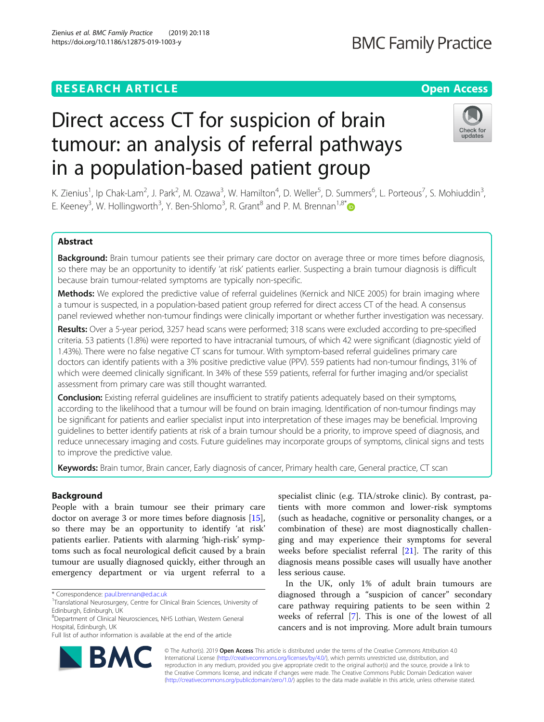### **RESEARCH ARTICLE Example 2018 12:30 THE Open Access**

# Direct access CT for suspicion of brain tumour: an analysis of referral pathways in a population-based patient group

K. Zienius<sup>1</sup>, Ip Chak-Lam<sup>2</sup>, J. Park<sup>2</sup>, M. Ozawa<sup>3</sup>, W. Hamilton<sup>4</sup>, D. Weller<sup>5</sup>, D. Summers<sup>6</sup>, L. Porteous<sup>7</sup>, S. Mohiuddin<sup>3</sup> , E. Keeney<sup>3</sup>, W. Hollingworth<sup>3</sup>, Y. Ben-Shlomo<sup>3</sup>, R. Grant<sup>8</sup> and P. M. Brennan<sup>1,8\*</sup>

#### Abstract

Background: Brain tumour patients see their primary care doctor on average three or more times before diagnosis, so there may be an opportunity to identify 'at risk' patients earlier. Suspecting a brain tumour diagnosis is difficult because brain tumour-related symptoms are typically non-specific.

Methods: We explored the predictive value of referral guidelines (Kernick and NICE 2005) for brain imaging where a tumour is suspected, in a population-based patient group referred for direct access CT of the head. A consensus panel reviewed whether non-tumour findings were clinically important or whether further investigation was necessary.

Results: Over a 5-year period, 3257 head scans were performed; 318 scans were excluded according to pre-specified criteria. 53 patients (1.8%) were reported to have intracranial tumours, of which 42 were significant (diagnostic yield of 1.43%). There were no false negative CT scans for tumour. With symptom-based referral guidelines primary care doctors can identify patients with a 3% positive predictive value (PPV). 559 patients had non-tumour findings, 31% of which were deemed clinically significant. In 34% of these 559 patients, referral for further imaging and/or specialist assessment from primary care was still thought warranted.

Conclusion: Existing referral guidelines are insufficient to stratify patients adequately based on their symptoms, according to the likelihood that a tumour will be found on brain imaging. Identification of non-tumour findings may be significant for patients and earlier specialist input into interpretation of these images may be beneficial. Improving guidelines to better identify patients at risk of a brain tumour should be a priority, to improve speed of diagnosis, and reduce unnecessary imaging and costs. Future guidelines may incorporate groups of symptoms, clinical signs and tests to improve the predictive value.

Keywords: Brain tumor, Brain cancer, Early diagnosis of cancer, Primary health care, General practice, CT scan

#### Background

People with a brain tumour see their primary care doctor on average 3 or more times before diagnosis [\[15](#page-10-0)], so there may be an opportunity to identify 'at risk' patients earlier. Patients with alarming 'high-risk' symptoms such as focal neurological deficit caused by a brain tumour are usually diagnosed quickly, either through an emergency department or via urgent referral to a

\* Correspondence: [paul.brennan@ed.ac.uk](mailto:paul.brennan@ed.ac.uk) <sup>1</sup>

8 Department of Clinical Neurosciences, NHS Lothian, Western General Hospital, Edinburgh, UK

Full list of author information is available at the end of the article

specialist clinic (e.g. TIA/stroke clinic). By contrast, patients with more common and lower-risk symptoms (such as headache, cognitive or personality changes, or a combination of these) are most diagnostically challenging and may experience their symptoms for several weeks before specialist referral [\[21](#page-10-0)]. The rarity of this diagnosis means possible cases will usually have another less serious cause.

In the UK, only 1% of adult brain tumours are diagnosed through a "suspicion of cancer" secondary care pathway requiring patients to be seen within 2 weeks of referral [[7\]](#page-9-0). This is one of the lowest of all cancers and is not improving. More adult brain tumours

© The Author(s). 2019 **Open Access** This article is distributed under the terms of the Creative Commons Attribution 4.0 International License [\(http://creativecommons.org/licenses/by/4.0/](http://creativecommons.org/licenses/by/4.0/)), which permits unrestricted use, distribution, and reproduction in any medium, provided you give appropriate credit to the original author(s) and the source, provide a link to the Creative Commons license, and indicate if changes were made. The Creative Commons Public Domain Dedication waiver [\(http://creativecommons.org/publicdomain/zero/1.0/](http://creativecommons.org/publicdomain/zero/1.0/)) applies to the data made available in this article, unless otherwise stated.





## **BMC Family Practice**

<sup>&</sup>lt;sup>1</sup>Translational Neurosurgery, Centre for Clinical Brain Sciences, University of Edinburgh, Edinburgh, UK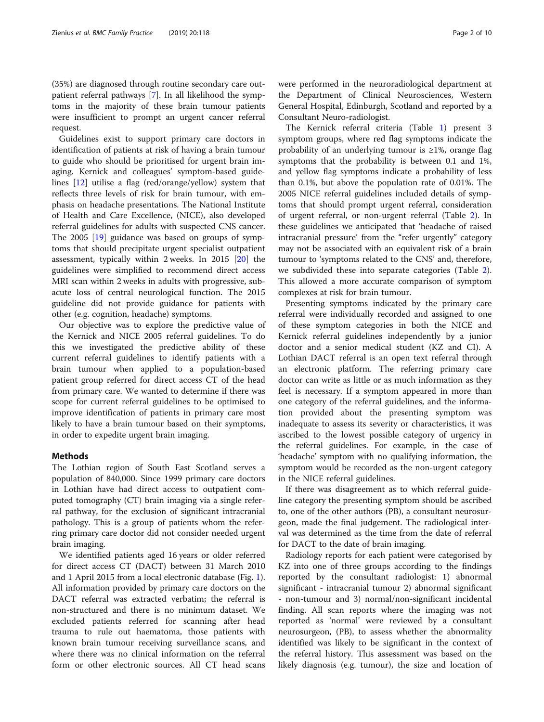(35%) are diagnosed through routine secondary care outpatient referral pathways [\[7\]](#page-9-0). In all likelihood the symptoms in the majority of these brain tumour patients were insufficient to prompt an urgent cancer referral request.

Guidelines exist to support primary care doctors in identification of patients at risk of having a brain tumour to guide who should be prioritised for urgent brain imaging. Kernick and colleagues' symptom-based guidelines [\[12\]](#page-10-0) utilise a flag (red/orange/yellow) system that reflects three levels of risk for brain tumour, with emphasis on headache presentations. The National Institute of Health and Care Excellence, (NICE), also developed referral guidelines for adults with suspected CNS cancer. The 2005 [[19\]](#page-10-0) guidance was based on groups of symptoms that should precipitate urgent specialist outpatient assessment, typically within 2 weeks. In 2015 [\[20](#page-10-0)] the guidelines were simplified to recommend direct access MRI scan within 2 weeks in adults with progressive, subacute loss of central neurological function. The 2015 guideline did not provide guidance for patients with other (e.g. cognition, headache) symptoms.

Our objective was to explore the predictive value of the Kernick and NICE 2005 referral guidelines. To do this we investigated the predictive ability of these current referral guidelines to identify patients with a brain tumour when applied to a population-based patient group referred for direct access CT of the head from primary care. We wanted to determine if there was scope for current referral guidelines to be optimised to improve identification of patients in primary care most likely to have a brain tumour based on their symptoms, in order to expedite urgent brain imaging.

#### Methods

The Lothian region of South East Scotland serves a population of 840,000. Since 1999 primary care doctors in Lothian have had direct access to outpatient computed tomography (CT) brain imaging via a single referral pathway, for the exclusion of significant intracranial pathology. This is a group of patients whom the referring primary care doctor did not consider needed urgent brain imaging.

We identified patients aged 16 years or older referred for direct access CT (DACT) between 31 March 2010 and 1 April 2015 from a local electronic database (Fig. [1](#page-3-0)). All information provided by primary care doctors on the DACT referral was extracted verbatim; the referral is non-structured and there is no minimum dataset. We excluded patients referred for scanning after head trauma to rule out haematoma, those patients with known brain tumour receiving surveillance scans, and where there was no clinical information on the referral form or other electronic sources. All CT head scans were performed in the neuroradiological department at the Department of Clinical Neurosciences, Western General Hospital, Edinburgh, Scotland and reported by a Consultant Neuro-radiologist.

The Kernick referral criteria (Table [1](#page-4-0)) present 3 symptom groups, where red flag symptoms indicate the probability of an underlying tumour is  $\geq 1\%$ , orange flag symptoms that the probability is between 0.1 and 1%, and yellow flag symptoms indicate a probability of less than 0.1%, but above the population rate of 0.01%. The 2005 NICE referral guidelines included details of symptoms that should prompt urgent referral, consideration of urgent referral, or non-urgent referral (Table [2\)](#page-5-0). In these guidelines we anticipated that 'headache of raised intracranial pressure' from the "refer urgently" category may not be associated with an equivalent risk of a brain tumour to 'symptoms related to the CNS' and, therefore, we subdivided these into separate categories (Table [2](#page-5-0)). This allowed a more accurate comparison of symptom complexes at risk for brain tumour.

Presenting symptoms indicated by the primary care referral were individually recorded and assigned to one of these symptom categories in both the NICE and Kernick referral guidelines independently by a junior doctor and a senior medical student (KZ and CI). A Lothian DACT referral is an open text referral through an electronic platform. The referring primary care doctor can write as little or as much information as they feel is necessary. If a symptom appeared in more than one category of the referral guidelines, and the information provided about the presenting symptom was inadequate to assess its severity or characteristics, it was ascribed to the lowest possible category of urgency in the referral guidelines. For example, in the case of 'headache' symptom with no qualifying information, the symptom would be recorded as the non-urgent category in the NICE referral guidelines.

If there was disagreement as to which referral guideline category the presenting symptom should be ascribed to, one of the other authors (PB), a consultant neurosurgeon, made the final judgement. The radiological interval was determined as the time from the date of referral for DACT to the date of brain imaging.

Radiology reports for each patient were categorised by KZ into one of three groups according to the findings reported by the consultant radiologist: 1) abnormal significant - intracranial tumour 2) abnormal significant - non-tumour and 3) normal/non-significant incidental finding. All scan reports where the imaging was not reported as 'normal' were reviewed by a consultant neurosurgeon, (PB), to assess whether the abnormality identified was likely to be significant in the context of the referral history. This assessment was based on the likely diagnosis (e.g. tumour), the size and location of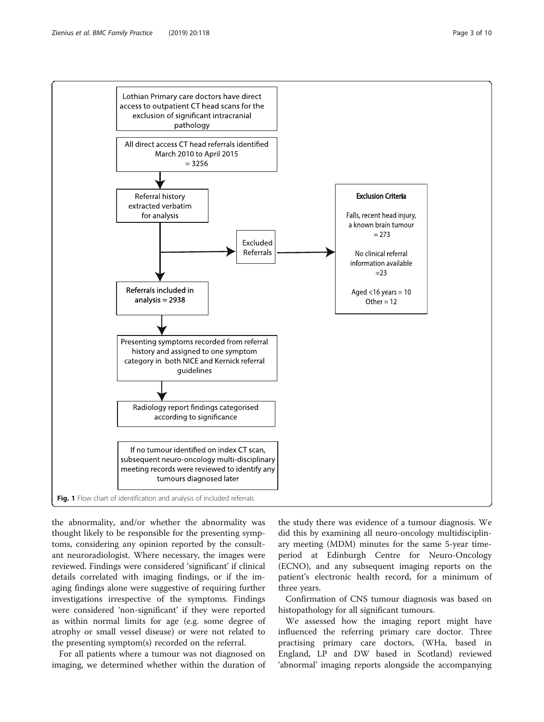<span id="page-3-0"></span>

the abnormality, and/or whether the abnormality was thought likely to be responsible for the presenting symptoms, considering any opinion reported by the consultant neuroradiologist. Where necessary, the images were reviewed. Findings were considered 'significant' if clinical details correlated with imaging findings, or if the imaging findings alone were suggestive of requiring further investigations irrespective of the symptoms. Findings were considered 'non-significant' if they were reported as within normal limits for age (e.g. some degree of atrophy or small vessel disease) or were not related to the presenting symptom(s) recorded on the referral.

For all patients where a tumour was not diagnosed on imaging, we determined whether within the duration of the study there was evidence of a tumour diagnosis. We did this by examining all neuro-oncology multidisciplinary meeting (MDM) minutes for the same 5-year timeperiod at Edinburgh Centre for Neuro-Oncology (ECNO), and any subsequent imaging reports on the patient's electronic health record, for a minimum of three years.

Confirmation of CNS tumour diagnosis was based on histopathology for all significant tumours.

We assessed how the imaging report might have influenced the referring primary care doctor. Three practising primary care doctors, (WHa, based in England, LP and DW based in Scotland) reviewed 'abnormal' imaging reports alongside the accompanying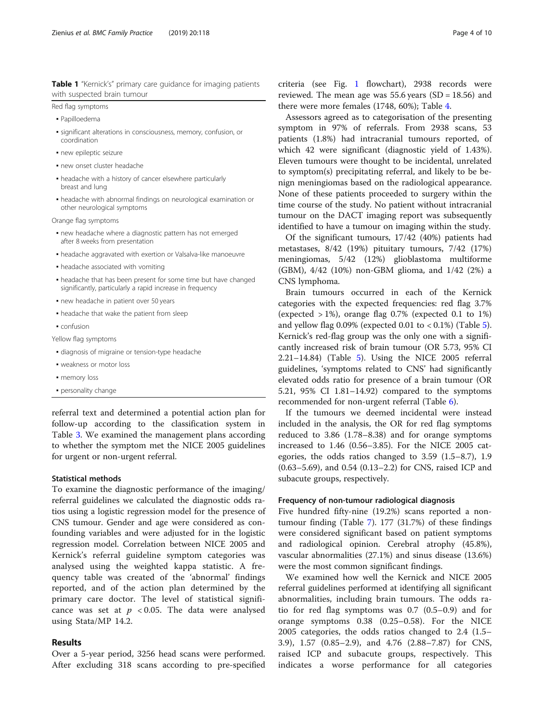- <span id="page-4-0"></span>Red flag symptoms
- Papilloedema
- significant alterations in consciousness, memory, confusion, or coordination
- · new epileptic seizure
- new onset cluster headache
- headache with a history of cancer elsewhere particularly breast and lung
- headache with abnormal findings on neurological examination or other neurological symptoms

Orange flag symptoms

- new headache where a diagnostic pattern has not emerged after 8 weeks from presentation
- headache aggravated with exertion or Valsalva-like manoeuvre
- headache associated with vomiting
- headache that has been present for some time but have changed significantly, particularly a rapid increase in frequency
- new headache in patient over 50 years
- . headache that wake the patient from sleep
- confusion

Yellow flag symptoms

- diagnosis of migraine or tension-type headache
- weakness or motor loss
- memory loss
- personality change

referral text and determined a potential action plan for follow-up according to the classification system in Table [3.](#page-5-0) We examined the management plans according to whether the symptom met the NICE 2005 guidelines for urgent or non-urgent referral.

#### Statistical methods

To examine the diagnostic performance of the imaging/ referral guidelines we calculated the diagnostic odds ratios using a logistic regression model for the presence of CNS tumour. Gender and age were considered as confounding variables and were adjusted for in the logistic regression model. Correlation between NICE 2005 and Kernick's referral guideline symptom categories was analysed using the weighted kappa statistic. A frequency table was created of the 'abnormal' findings reported, and of the action plan determined by the primary care doctor. The level of statistical significance was set at  $p < 0.05$ . The data were analysed using Stata/MP 14.2.

#### Results

Over a 5-year period, 3256 head scans were performed. After excluding 318 scans according to pre-specified criteria (see Fig. [1](#page-3-0) flowchart), 2938 records were reviewed. The mean age was  $55.6$  years (SD = 18.56) and there were more females (1748, 60%); Table [4](#page-5-0).

Assessors agreed as to categorisation of the presenting symptom in 97% of referrals. From 2938 scans, 53 patients (1.8%) had intracranial tumours reported, of which 42 were significant (diagnostic yield of 1.43%). Eleven tumours were thought to be incidental, unrelated to symptom(s) precipitating referral, and likely to be benign meningiomas based on the radiological appearance. None of these patients proceeded to surgery within the time course of the study. No patient without intracranial tumour on the DACT imaging report was subsequently identified to have a tumour on imaging within the study.

Of the significant tumours, 17/42 (40%) patients had metastases, 8/42 (19%) pituitary tumours, 7/42 (17%) meningiomas, 5/42 (12%) glioblastoma multiforme (GBM), 4/42 (10%) non-GBM glioma, and 1/42 (2%) a CNS lymphoma.

Brain tumours occurred in each of the Kernick categories with the expected frequencies: red flag 3.7% (expected  $> 1\%$ ), orange flag 0.7% (expected 0.1 to 1%) and yellow flag  $0.09\%$  (expected  $0.01$  to  $< 0.1\%$ ) (Table [5](#page-6-0)). Kernick's red-flag group was the only one with a significantly increased risk of brain tumour (OR 5.73, 95% CI 2.21–14.84) (Table [5](#page-6-0)). Using the NICE 2005 referral guidelines, 'symptoms related to CNS' had significantly elevated odds ratio for presence of a brain tumour (OR 5.21, 95% CI 1.81–14.92) compared to the symptoms recommended for non-urgent referral (Table [6\)](#page-6-0).

If the tumours we deemed incidental were instead included in the analysis, the OR for red flag symptoms reduced to 3.86 (1.78–8.38) and for orange symptoms increased to 1.46 (0.56–3.85). For the NICE 2005 categories, the odds ratios changed to 3.59 (1.5–8.7), 1.9 (0.63–5.69), and 0.54 (0.13–2.2) for CNS, raised ICP and subacute groups, respectively.

#### Frequency of non-tumour radiological diagnosis

Five hundred fifty-nine (19.2%) scans reported a nontumour finding (Table [7](#page-7-0)). 177 (31.7%) of these findings were considered significant based on patient symptoms and radiological opinion. Cerebral atrophy (45.8%), vascular abnormalities (27.1%) and sinus disease (13.6%) were the most common significant findings.

We examined how well the Kernick and NICE 2005 referral guidelines performed at identifying all significant abnormalities, including brain tumours. The odds ratio for red flag symptoms was 0.7 (0.5–0.9) and for orange symptoms 0.38 (0.25–0.58). For the NICE 2005 categories, the odds ratios changed to 2.4 (1.5– 3.9), 1.57 (0.85–2.9), and 4.76 (2.88–7.87) for CNS, raised ICP and subacute groups, respectively. This indicates a worse performance for all categories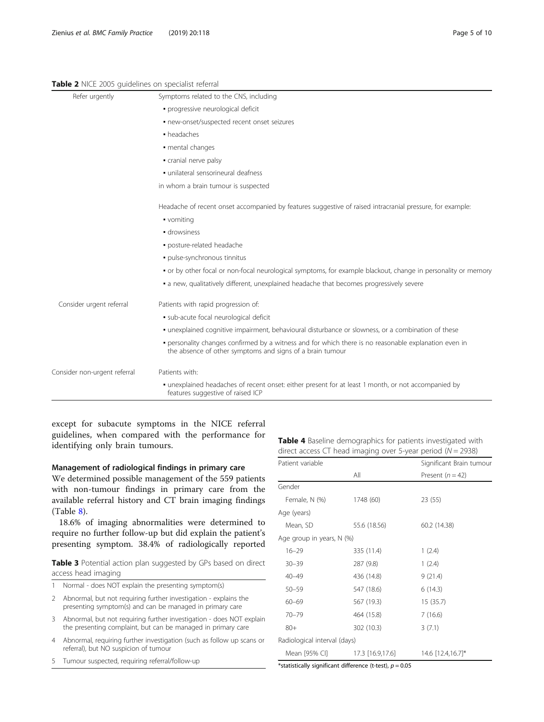#### <span id="page-5-0"></span>Table 2 NICE 2005 guidelines on specialist referral

| Refer urgently               | Symptoms related to the CNS, including                                                                                                                             |
|------------------------------|--------------------------------------------------------------------------------------------------------------------------------------------------------------------|
|                              | · progressive neurological deficit                                                                                                                                 |
|                              | • new-onset/suspected recent onset seizures                                                                                                                        |
|                              | • headaches                                                                                                                                                        |
|                              | · mental changes                                                                                                                                                   |
|                              | · cranial nerve palsy                                                                                                                                              |
|                              | · unilateral sensorineural deafness                                                                                                                                |
|                              | in whom a brain tumour is suspected                                                                                                                                |
|                              | Headache of recent onset accompanied by features suggestive of raised intracranial pressure, for example:                                                          |
|                              | • vomiting                                                                                                                                                         |
|                              | · drowsiness                                                                                                                                                       |
|                              | · posture-related headache                                                                                                                                         |
|                              | · pulse-synchronous tinnitus                                                                                                                                       |
|                              | • or by other focal or non-focal neurological symptoms, for example blackout, change in personality or memory                                                      |
|                              | • a new, qualitatively different, unexplained headache that becomes progressively severe                                                                           |
| Consider urgent referral     | Patients with rapid progression of:                                                                                                                                |
|                              | · sub-acute focal neurological deficit                                                                                                                             |
|                              | • unexplained cognitive impairment, behavioural disturbance or slowness, or a combination of these                                                                 |
|                              | · personality changes confirmed by a witness and for which there is no reasonable explanation even in<br>the absence of other symptoms and signs of a brain tumour |
| Consider non-urgent referral | Patients with:                                                                                                                                                     |
|                              | • unexplained headaches of recent onset: either present for at least 1 month, or not accompanied by<br>features suggestive of raised ICP                           |

except for subacute symptoms in the NICE referral guidelines, when compared with the performance for identifying only brain tumours.

#### Management of radiological findings in primary care

We determined possible management of the 559 patients with non-tumour findings in primary care from the available referral history and CT brain imaging findings (Table [8\)](#page-7-0).

18.6% of imaging abnormalities were determined to require no further follow-up but did explain the patient's presenting symptom. 38.4% of radiologically reported

Table 3 Potential action plan suggested by GPs based on direct access head imaging

|  |  |  | Normal - does NOT explain the presenting symptom(s) |  |
|--|--|--|-----------------------------------------------------|--|
|  |  |  |                                                     |  |

- 2 Abnormal, but not requiring further investigation explains the presenting symptom(s) and can be managed in primary care
- 3 Abnormal, but not requiring further investigation does NOT explain the presenting complaint, but can be managed in primary care
- 4 Abnormal, requiring further investigation (such as follow up scans or referral), but NO suspicion of tumour
- 5 Tumour suspected, requiring referral/follow-up

|  |  |  | <b>Table 4</b> Baseline demographics for patients investigated with |  |
|--|--|--|---------------------------------------------------------------------|--|
|  |  |  | direct access CT head imaging over 5-year period ( $N = 2938$ )     |  |

| Patient variable             |                                                              | Significant Brain tumour |
|------------------------------|--------------------------------------------------------------|--------------------------|
|                              | All                                                          | Present $(n = 42)$       |
| Gender                       |                                                              |                          |
| Female, N (%)                | 1748 (60)                                                    | 23(55)                   |
| Age (years)                  |                                                              |                          |
| Mean, SD                     | 55.6 (18.56)                                                 | 60.2 (14.38)             |
| Age group in years, N (%)    |                                                              |                          |
| $16 - 29$                    | 335 (11.4)                                                   | 1(2.4)                   |
| $30 - 39$                    | 287 (9.8)                                                    | 1(2.4)                   |
| $40 - 49$                    | 436 (14.8)                                                   | 9(21.4)                  |
| $50 - 59$                    | 547 (18.6)                                                   | 6(14.3)                  |
| $60 - 69$                    | 567 (19.3)                                                   | 15 (35.7)                |
| $70 - 79$                    | 464 (15.8)                                                   | 7(16.6)                  |
| $80+$                        | 302 (10.3)                                                   | 3(7.1)                   |
| Radiological interval (days) |                                                              |                          |
|                              | Mean [95% CI] 17.3 [16.9,17.6]                               | 14.6 [12.4,16.7]*        |
|                              | *statistically significant difference $(t$ -test) $n - 0.05$ |                          |

 $^*$ statistically significant difference (t-test),  $\rho$  = 0.05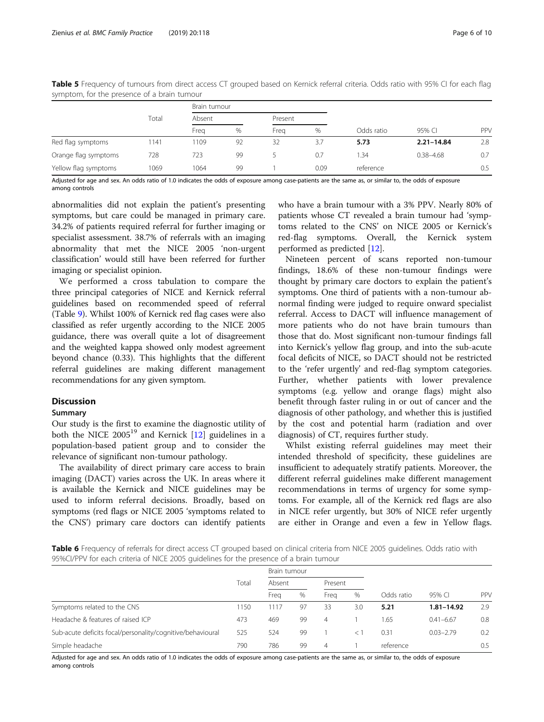|                      | Total | Brain tumour |    |         |      |            |                |     |
|----------------------|-------|--------------|----|---------|------|------------|----------------|-----|
|                      |       | Absent       |    | Present |      |            |                |     |
|                      |       | Frea         | %  | Frea    | $\%$ | Odds ratio | 95% CI         | PPV |
| Red flag symptoms    | 141   | 1109         | 92 | 32      | 3.7  | 5.73       | $2.21 - 14.84$ | 2.8 |
| Orange flag symptoms | 728   | 723          | 99 |         | 0.7  | 1.34       | $0.38 - 4.68$  | 0.7 |
| Yellow flag symptoms | 1069  | 1064         | 99 |         | 0.09 | reference  |                | 0.5 |

<span id="page-6-0"></span>Table 5 Frequency of tumours from direct access CT grouped based on Kernick referral criteria. Odds ratio with 95% CI for each flag symptom, for the presence of a brain tumour

Adjusted for age and sex. An odds ratio of 1.0 indicates the odds of exposure among case-patients are the same as, or similar to, the odds of exposure among controls

abnormalities did not explain the patient's presenting symptoms, but care could be managed in primary care. 34.2% of patients required referral for further imaging or specialist assessment. 38.7% of referrals with an imaging abnormality that met the NICE 2005 'non-urgent classification' would still have been referred for further imaging or specialist opinion.

We performed a cross tabulation to compare the three principal categories of NICE and Kernick referral guidelines based on recommended speed of referral (Table [9](#page-8-0)). Whilst 100% of Kernick red flag cases were also classified as refer urgently according to the NICE 2005 guidance, there was overall quite a lot of disagreement and the weighted kappa showed only modest agreement beyond chance (0.33). This highlights that the different referral guidelines are making different management recommendations for any given symptom.

#### **Discussion**

#### Summary

Our study is the first to examine the diagnostic utility of both the NICE  $2005^{19}$  and Kernick [\[12](#page-10-0)] guidelines in a population-based patient group and to consider the relevance of significant non-tumour pathology.

The availability of direct primary care access to brain imaging (DACT) varies across the UK. In areas where it is available the Kernick and NICE guidelines may be used to inform referral decisions. Broadly, based on symptoms (red flags or NICE 2005 'symptoms related to the CNS') primary care doctors can identify patients

who have a brain tumour with a 3% PPV. Nearly 80% of patients whose CT revealed a brain tumour had 'symptoms related to the CNS' on NICE 2005 or Kernick's red-flag symptoms. Overall, the Kernick system performed as predicted [[12\]](#page-10-0).

Nineteen percent of scans reported non-tumour findings, 18.6% of these non-tumour findings were thought by primary care doctors to explain the patient's symptoms. One third of patients with a non-tumour abnormal finding were judged to require onward specialist referral. Access to DACT will influence management of more patients who do not have brain tumours than those that do. Most significant non-tumour findings fall into Kernick's yellow flag group, and into the sub-acute focal deficits of NICE, so DACT should not be restricted to the 'refer urgently' and red-flag symptom categories. Further, whether patients with lower prevalence symptoms (e.g. yellow and orange flags) might also benefit through faster ruling in or out of cancer and the diagnosis of other pathology, and whether this is justified by the cost and potential harm (radiation and over diagnosis) of CT, requires further study.

Whilst existing referral guidelines may meet their intended threshold of specificity, these guidelines are insufficient to adequately stratify patients. Moreover, the different referral guidelines make different management recommendations in terms of urgency for some symptoms. For example, all of the Kernick red flags are also in NICE refer urgently, but 30% of NICE refer urgently are either in Orange and even a few in Yellow flags.

Table 6 Frequency of referrals for direct access CT grouped based on clinical criteria from NICE 2005 guidelines. Odds ratio with 95%CI/PPV for each criteria of NICE 2005 guidelines for the presence of a brain tumour

|                                                            |       | Brain tumour |    |         |         |            |                |     |
|------------------------------------------------------------|-------|--------------|----|---------|---------|------------|----------------|-----|
|                                                            | Total | Absent       |    | Present |         |            |                |     |
|                                                            |       | Freg         | %  | Frea    | $\%$    | Odds ratio | 95% CI         | PPV |
| Symptoms related to the CNS                                | 1150  | 1117         | 97 | 33      | 3.0     | 5.21       | $1.81 - 14.92$ | 2.9 |
| Headache & features of raised ICP                          | 473   | 469          | 99 | 4       |         | 1.65       | $0.41 - 6.67$  | 0.8 |
| Sub-acute deficits focal/personality/cognitive/behavioural | 525   | 524          | 99 |         | $\lt$ 1 | 0.31       | $0.03 - 2.79$  | 0.2 |
| Simple headache                                            | 790   | 786          | 99 | 4       |         | reference  |                | 0.5 |

Adjusted for age and sex. An odds ratio of 1.0 indicates the odds of exposure among case-patients are the same as, or similar to, the odds of exposure among controls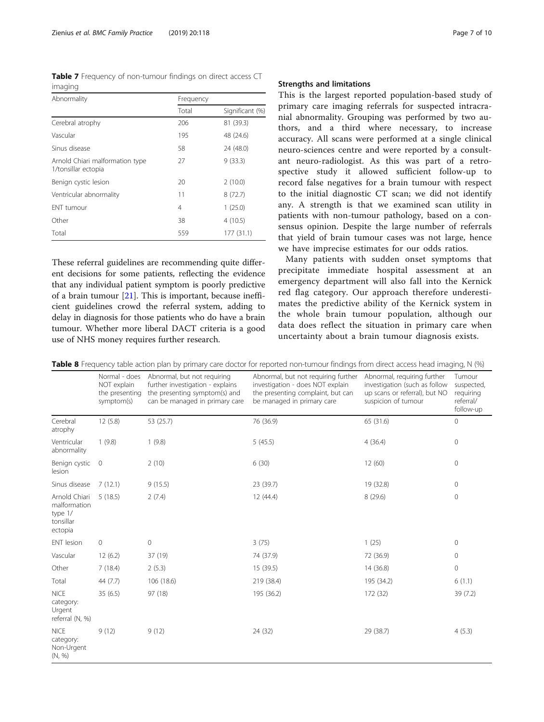<span id="page-7-0"></span>Table 7 Frequency of non-tumour findings on direct access CT imaging

| Abnormality                                            | Frequency |                 |  |
|--------------------------------------------------------|-----------|-----------------|--|
|                                                        | Total     | Significant (%) |  |
| Cerebral atrophy                                       | 206       | 81 (39.3)       |  |
| Vascular                                               | 195       | 48 (24.6)       |  |
| Sinus disease                                          | 58        | 24 (48.0)       |  |
| Arnold Chiari malformation type<br>1/tonsillar ectopia | 27        | 9(33.3)         |  |
| Benign cystic lesion                                   | 20        | 2(10.0)         |  |
| Ventricular abnormality                                | 11        | 8(72.7)         |  |
| <b>FNT</b> tumour                                      | 4         | 1(25.0)         |  |
| Other                                                  | 38        | 4(10.5)         |  |
| Total                                                  | 559       | 177(31.1)       |  |

These referral guidelines are recommending quite different decisions for some patients, reflecting the evidence that any individual patient symptom is poorly predictive of a brain tumour  $[21]$  $[21]$ . This is important, because inefficient guidelines crowd the referral system, adding to delay in diagnosis for those patients who do have a brain tumour. Whether more liberal DACT criteria is a good use of NHS money requires further research.

#### Strengths and limitations

This is the largest reported population-based study of primary care imaging referrals for suspected intracranial abnormality. Grouping was performed by two authors, and a third where necessary, to increase accuracy. All scans were performed at a single clinical neuro-sciences centre and were reported by a consultant neuro-radiologist. As this was part of a retrospective study it allowed sufficient follow-up to record false negatives for a brain tumour with respect to the initial diagnostic CT scan; we did not identify any. A strength is that we examined scan utility in patients with non-tumour pathology, based on a consensus opinion. Despite the large number of referrals that yield of brain tumour cases was not large, hence we have imprecise estimates for our odds ratios.

Many patients with sudden onset symptoms that precipitate immediate hospital assessment at an emergency department will also fall into the Kernick red flag category. Our approach therefore underestimates the predictive ability of the Kernick system in the whole brain tumour population, although our data does reflect the situation in primary care when uncertainty about a brain tumour diagnosis exists.

|                                                                  | Normal - does<br>NOT explain<br>the presenting<br>symptom(s) | Abnormal, but not requiring<br>further investigation - explains<br>the presenting symptom(s) and<br>can be managed in primary care | Abnormal, but not requiring further<br>investigation - does NOT explain<br>the presenting complaint, but can<br>be managed in primary care | Abnormal, requiring further<br>investigation (such as follow<br>up scans or referral), but NO<br>suspicion of tumour | Tumour<br>suspected,<br>requiring<br>referral/<br>follow-up |
|------------------------------------------------------------------|--------------------------------------------------------------|------------------------------------------------------------------------------------------------------------------------------------|--------------------------------------------------------------------------------------------------------------------------------------------|----------------------------------------------------------------------------------------------------------------------|-------------------------------------------------------------|
| Cerebral<br>atrophy                                              | 12(5.8)                                                      | 53 (25.7)                                                                                                                          | 76 (36.9)                                                                                                                                  | 65 (31.6)                                                                                                            | $\overline{0}$                                              |
| Ventricular<br>abnormality                                       | 1(9.8)                                                       | 1(9.8)                                                                                                                             | 5(45.5)                                                                                                                                    | 4(36.4)                                                                                                              | $\circ$                                                     |
| Benign cystic<br>lesion                                          | $\overline{0}$                                               | 2(10)                                                                                                                              | 6(30)                                                                                                                                      | 12 (60)                                                                                                              | 0                                                           |
| Sinus disease                                                    | 7(12.1)                                                      | 9(15.5)                                                                                                                            | 23 (39.7)                                                                                                                                  | 19 (32.8)                                                                                                            | $\mathbf{0}$                                                |
| Arnold Chiari<br>malformation<br>type 1/<br>tonsillar<br>ectopia | 5(18.5)                                                      | 2(7.4)                                                                                                                             | 12 (44.4)                                                                                                                                  | 8(29.6)                                                                                                              | $\circ$                                                     |
| <b>ENT</b> lesion                                                | $\circ$                                                      | $\overline{0}$                                                                                                                     | 3(75)                                                                                                                                      | 1(25)                                                                                                                | 0                                                           |
| Vascular                                                         | 12(6.2)                                                      | 37 (19)                                                                                                                            | 74 (37.9)                                                                                                                                  | 72 (36.9)                                                                                                            | $\circ$                                                     |
| Other                                                            | 7(18.4)                                                      | 2(5.3)                                                                                                                             | 15 (39.5)                                                                                                                                  | 14 (36.8)                                                                                                            | 0                                                           |
| Total                                                            | 44 (7.7)                                                     | 106 (18.6)                                                                                                                         | 219 (38.4)                                                                                                                                 | 195 (34.2)                                                                                                           | 6(1.1)                                                      |
| <b>NICE</b><br>category:<br>Urgent<br>referral (N, %)            | 35(6.5)                                                      | 97 (18)                                                                                                                            | 195 (36.2)                                                                                                                                 | 172 (32)                                                                                                             | 39 (7.2)                                                    |
| <b>NICE</b><br>category:<br>Non-Urgent<br>(N, %)                 | 9(12)                                                        | 9(12)                                                                                                                              | 24 (32)                                                                                                                                    | 29 (38.7)                                                                                                            | 4(5.3)                                                      |

Table 8 Frequency table action plan by primary care doctor for reported non-tumour findings from direct access head imaging, N (%)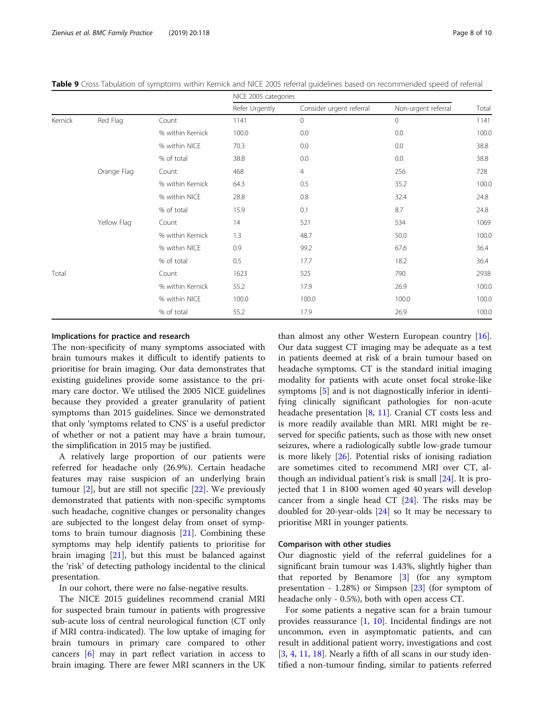<span id="page-8-0"></span>

| Table 9 Cross Tabulation of symptoms within Kernick and NICE 2005 referral quidelines based on recommended speed of referral |  |  |
|------------------------------------------------------------------------------------------------------------------------------|--|--|
|------------------------------------------------------------------------------------------------------------------------------|--|--|

|         |             |                  | NICE 2005 categories |                          |                     |       |
|---------|-------------|------------------|----------------------|--------------------------|---------------------|-------|
|         |             |                  | Refer Urgently       | Consider urgent referral | Non-urgent referral | Total |
| Kernick | Red Flag    | Count            | 1141                 | $\mathbf 0$              | $\circ$             | 1141  |
|         |             | % within Kernick | 100.0                | 0.0                      | 0.0                 | 100.0 |
|         |             | % within NICE    | 70.3                 | 0.0                      | 0.0                 | 38.8  |
|         |             | % of total       | 38.8                 | 0.0                      | 0.0                 | 38.8  |
|         | Orange Flag | Count            | 468                  | $\overline{4}$           | 256                 | 728   |
|         |             | % within Kernick | 64.3                 | 0.5                      | 35.2                | 100.0 |
|         |             | % within NICE    | 28.8                 | 0.8                      | 32.4                | 24.8  |
|         |             | % of total       | 15.9                 | 0.1                      | 8.7                 | 24.8  |
|         | Yellow Flag | Count            | 14                   | 521                      | 534                 | 1069  |
|         |             | % within Kernick | 1.3                  | 48.7                     | 50.0                | 100.0 |
|         |             | % within NICE    | 0.9                  | 99.2                     | 67.6                | 36.4  |
|         |             | % of total       | 0.5                  | 17.7                     | 18.2                | 36.4  |
| Total   |             | Count            | 1623                 | 525                      | 790                 | 2938  |
|         |             | % within Kernick | 55.2                 | 17.9                     | 26.9                | 100.0 |
|         |             | % within NICE    | 100.0                | 100.0                    | 100.0               | 100.0 |
|         |             | % of total       | 55.2                 | 17.9                     | 26.9                | 100.0 |

#### Implications for practice and research

The non-specificity of many symptoms associated with brain tumours makes it difficult to identify patients to prioritise for brain imaging. Our data demonstrates that existing guidelines provide some assistance to the primary care doctor. We utilised the 2005 NICE guidelines because they provided a greater granularity of patient symptoms than 2015 guidelines. Since we demonstrated that only 'symptoms related to CNS' is a useful predictor of whether or not a patient may have a brain tumour, the simplification in 2015 may be justified.

A relatively large proportion of our patients were referred for headache only (26.9%). Certain headache features may raise suspicion of an underlying brain tumour [\[2\]](#page-9-0), but are still not specific [[22\]](#page-10-0). We previously demonstrated that patients with non-specific symptoms such headache, cognitive changes or personality changes are subjected to the longest delay from onset of symptoms to brain tumour diagnosis [[21\]](#page-10-0). Combining these symptoms may help identify patients to prioritise for brain imaging [\[21](#page-10-0)], but this must be balanced against the 'risk' of detecting pathology incidental to the clinical presentation.

In our cohort, there were no false-negative results.

The NICE 2015 guidelines recommend cranial MRI for suspected brain tumour in patients with progressive sub-acute loss of central neurological function (CT only if MRI contra-indicated). The low uptake of imaging for brain tumours in primary care compared to other cancers [[6\]](#page-9-0) may in part reflect variation in access to brain imaging. There are fewer MRI scanners in the UK

than almost any other Western European country [\[16](#page-10-0)]. Our data suggest CT imaging may be adequate as a test in patients deemed at risk of a brain tumour based on headache symptoms. CT is the standard initial imaging modality for patients with acute onset focal stroke-like symptoms [[5\]](#page-9-0) and is not diagnostically inferior in identifying clinically significant pathologies for non-acute headache presentation [\[8](#page-9-0), [11\]](#page-10-0). Cranial CT costs less and is more readily available than MRI. MRI might be reserved for specific patients, such as those with new onset seizures, where a radiologically subtle low-grade tumour is more likely [\[26\]](#page-10-0). Potential risks of ionising radiation are sometimes cited to recommend MRI over CT, although an individual patient's risk is small [\[24](#page-10-0)]. It is projected that 1 in 8100 women aged 40 years will develop cancer from a single head CT  $[24]$ . The risks may be doubled for 20-year-olds [\[24](#page-10-0)] so It may be necessary to prioritise MRI in younger patients.

#### Comparison with other studies

Our diagnostic yield of the referral guidelines for a significant brain tumour was 1.43%, slightly higher than that reported by Benamore [\[3](#page-9-0)] (for any symptom presentation  $-1.28\%$ ) or Simpson [[23\]](#page-10-0) (for symptom of headache only - 0.5%), both with open access CT.

For some patients a negative scan for a brain tumour provides reassurance [[1,](#page-9-0) [10](#page-10-0)]. Incidental findings are not uncommon, even in asymptomatic patients, and can result in additional patient worry, investigations and cost [[3,](#page-9-0) [4,](#page-9-0) [11](#page-10-0), [18](#page-10-0)]. Nearly a fifth of all scans in our study identified a non-tumour finding, similar to patients referred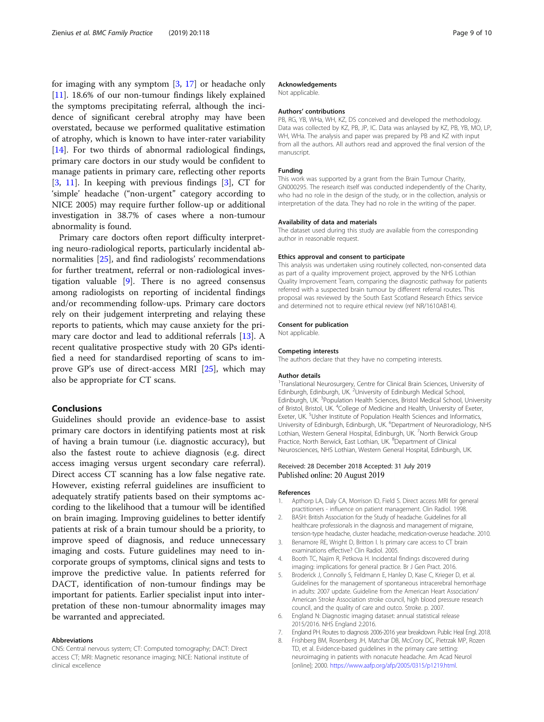<span id="page-9-0"></span>for imaging with any symptom [3, [17\]](#page-10-0) or headache only [[11\]](#page-10-0). 18.6% of our non-tumour findings likely explained the symptoms precipitating referral, although the incidence of significant cerebral atrophy may have been overstated, because we performed qualitative estimation of atrophy, which is known to have inter-rater variability [[14\]](#page-10-0). For two thirds of abnormal radiological findings, primary care doctors in our study would be confident to manage patients in primary care, reflecting other reports [3, [11\]](#page-10-0). In keeping with previous findings [3], CT for 'simple' headache ("non-urgent" category according to NICE 2005) may require further follow-up or additional investigation in 38.7% of cases where a non-tumour abnormality is found.

Primary care doctors often report difficulty interpreting neuro-radiological reports, particularly incidental abnormalities [\[25\]](#page-10-0), and find radiologists' recommendations for further treatment, referral or non-radiological investigation valuable [[9](#page-10-0)]. There is no agreed consensus among radiologists on reporting of incidental findings and/or recommending follow-ups. Primary care doctors rely on their judgement interpreting and relaying these reports to patients, which may cause anxiety for the primary care doctor and lead to additional referrals [\[13\]](#page-10-0). A recent qualitative prospective study with 20 GPs identified a need for standardised reporting of scans to improve GP's use of direct-access MRI [[25\]](#page-10-0), which may also be appropriate for CT scans.

#### Conclusions

Guidelines should provide an evidence-base to assist primary care doctors in identifying patients most at risk of having a brain tumour (i.e. diagnostic accuracy), but also the fastest route to achieve diagnosis (e.g. direct access imaging versus urgent secondary care referral). Direct access CT scanning has a low false negative rate. However, existing referral guidelines are insufficient to adequately stratify patients based on their symptoms according to the likelihood that a tumour will be identified on brain imaging. Improving guidelines to better identify patients at risk of a brain tumour should be a priority, to improve speed of diagnosis, and reduce unnecessary imaging and costs. Future guidelines may need to incorporate groups of symptoms, clinical signs and tests to improve the predictive value. In patients referred for DACT, identification of non-tumour findings may be important for patients. Earlier specialist input into interpretation of these non-tumour abnormality images may be warranted and appreciated.

#### Abbreviations

CNS: Central nervous system; CT: Computed tomography; DACT: Direct access CT; MRI: Magnetic resonance imaging; NICE: National institute of clinical excellence

#### Acknowledgements

Not applicable.

#### Authors' contributions

PB, RG, YB, WHa, WH, KZ, DS conceived and developed the methodology. Data was collected by KZ, PB, JP, IC. Data was anlaysed by KZ, PB, YB, MO, LP, WH, WHa. The analysis and paper was prepared by PB and KZ with input from all the authors. All authors read and approved the final version of the manuscript.

#### Funding

This work was supported by a grant from the Brain Tumour Charity, GN000295. The research itself was conducted independently of the Charity, who had no role in the design of the study, or in the collection, analysis or interpretation of the data. They had no role in the writing of the paper.

#### Availability of data and materials

The dataset used during this study are available from the corresponding author in reasonable request.

#### Ethics approval and consent to participate

This analysis was undertaken using routinely collected, non-consented data as part of a quality improvement project, approved by the NHS Lothian Quality Improvement Team, comparing the diagnostic pathway for patients referred with a suspected brain tumour by different referral routes. This proposal was reviewed by the South East Scotland Research Ethics service and determined not to require ethical review (ref NR/1610AB14).

#### Consent for publication

Not applicable.

#### Competing interests

The authors declare that they have no competing interests.

#### Author details

<sup>1</sup>Translational Neurosurgery, Centre for Clinical Brain Sciences, University of Edinburgh, Edinburgh, UK.<sup>2</sup>University of Edinburgh Medical School, Edinburgh, UK. <sup>3</sup>Population Health Sciences, Bristol Medical School, University of Bristol, Bristol, UK. <sup>4</sup>College of Medicine and Health, University of Exeter Exeter, UK. <sup>5</sup>Usher Institute of Population Health Sciences and Informatics University of Edinburgh, Edinburgh, UK. <sup>6</sup>Department of Neuroradiology, NHS Lothian, Western General Hospital, Edinburgh, UK. <sup>7</sup>North Berwick Group Practice, North Berwick, East Lothian, UK. <sup>8</sup> Department of Clinical Neurosciences, NHS Lothian, Western General Hospital, Edinburgh, UK.

#### Received: 28 December 2018 Accepted: 31 July 2019 Published online: 20 August 2019

#### References

- 1. Apthorp LA, Daly CA, Morrison ID, Field S. Direct access MRI for general practitioners - influence on patient management. Clin Radiol. 1998.
- 2. BASH: British Association for the Study of headache. Guidelines for all healthcare professionals in the diagnosis and management of migraine, tension-type headache, cluster headache, medication-overuse headache. 2010.
- 3. Benamore RE, Wright D, Britton I. Is primary care access to CT brain examinations effective? Clin Radiol. 2005.
- 4. Booth TC, Najim R, Petkova H. Incidental findings discovered during imaging: implications for general practice. Br J Gen Pract. 2016.
- 5. Broderick J, Connolly S, Feldmann E, Hanley D, Kase C, Krieger D, et al. Guidelines for the management of spontaneous intracerebral hemorrhage in adults: 2007 update. Guideline from the American Heart Association/ American Stroke Association stroke council, high blood pressure research council, and the quality of care and outco. Stroke. p. 2007.
- 6. England N: Diagnostic imaging dataset: annual statistical release 2015/2016. NHS England 2:2016.
- 7. England PH. Routes to diagnosis 2006-2016 year breakdown. Public Heal Engl. 2018.
- 8. Frishberg BM, Rosenberg JH, Matchar DB, McCrory DC, Pietrzak MP, Rozen TD, et al. Evidence-based guidelines in the primary care setting: neuroimaging in patients with nonacute headache. Am Acad Neurol [online]; 2000. [https://www.aafp.org/afp/2005/0315/p1219.html.](https://www.aafp.org/afp/2005/0315/p1219.html)